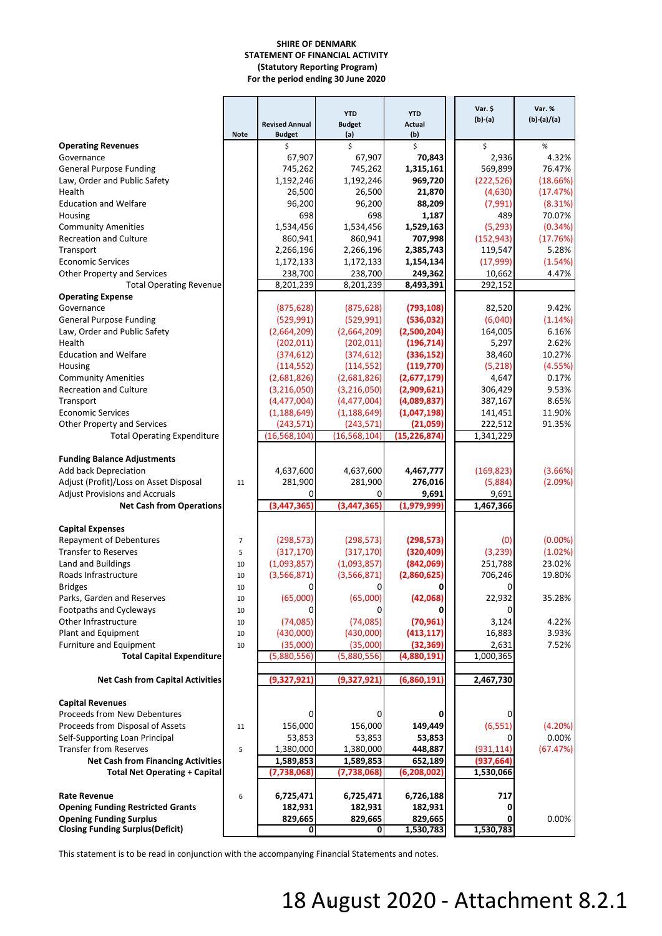#### **SHIRE OF DENMARK STATEMENT OF FINANCIAL ACTIVITY (Statutory Reporting Program) For the period ending 30 June 2020**

|                                           |                | <b>Revised Annual</b> | <b>YTD</b><br><b>Budget</b> | <b>YTD</b><br><b>Actual</b> | Var. \$<br>$(b)-(a)$ | Var. %<br>$(b)-(a)/(a)$ |
|-------------------------------------------|----------------|-----------------------|-----------------------------|-----------------------------|----------------------|-------------------------|
|                                           | <b>Note</b>    | <b>Budget</b>         | (a)                         | (b)                         |                      |                         |
| <b>Operating Revenues</b>                 |                | \$                    | Ś                           | \$                          | \$                   | $\%$                    |
| Governance                                |                | 67,907                | 67,907                      | 70,843                      | 2,936                | 4.32%                   |
| <b>General Purpose Funding</b>            |                | 745,262               | 745,262                     | 1,315,161                   | 569,899              | 76.47%                  |
| Law, Order and Public Safety              |                | 1,192,246             | 1,192,246                   | 969,720                     | (222, 526)           | (18.66%)                |
| Health                                    |                | 26,500                | 26,500                      | 21,870                      | (4,630)              | (17.47%)                |
| <b>Education and Welfare</b>              |                | 96,200                | 96,200                      | 88,209                      | (7,991)              | (8.31%)                 |
| Housing                                   |                | 698                   | 698                         | 1,187                       | 489                  | 70.07%                  |
| <b>Community Amenities</b>                |                | 1,534,456             | 1,534,456                   | 1,529,163                   | (5, 293)             | (0.34%)                 |
| <b>Recreation and Culture</b>             |                | 860,941               | 860,941                     | 707,998                     | (152, 943)           | (17.76%)                |
| Transport                                 |                | 2,266,196             | 2,266,196                   | 2,385,743                   | 119,547              | 5.28%                   |
| <b>Economic Services</b>                  |                | 1,172,133             | 1,172,133                   | 1,154,134                   | (17,999)             | (1.54%)                 |
| Other Property and Services               |                | 238,700               | 238,700                     | 249,362                     | 10,662               | 4.47%                   |
| <b>Total Operating Revenue</b>            |                | 8,201,239             | 8,201,239                   | 8,493,391                   | 292,152              |                         |
| <b>Operating Expense</b>                  |                |                       |                             |                             |                      |                         |
| Governance                                |                | (875, 628)            | (875, 628)                  | (793, 108)                  | 82,520               | 9.42%                   |
| <b>General Purpose Funding</b>            |                | (529, 991)            | (529, 991)                  | (536,032)                   | (6,040)              | (1.14%)                 |
| Law, Order and Public Safety              |                | (2,664,209)           | (2,664,209)                 | (2,500,204)                 | 164,005              | 6.16%                   |
| Health                                    |                | (202, 011)            | (202, 011)                  | (196, 714)                  | 5,297                | 2.62%                   |
| <b>Education and Welfare</b>              |                | (374, 612)            | (374, 612)                  | (336, 152)                  | 38,460               | 10.27%                  |
| Housing                                   |                | (114, 552)            | (114, 552)                  | (119, 770)                  | (5,218)              | (4.55%)                 |
| <b>Community Amenities</b>                |                | (2,681,826)           | (2,681,826)                 | (2,677,179)                 | 4,647                | 0.17%                   |
| <b>Recreation and Culture</b>             |                | (3,216,050)           | (3,216,050)                 | (2,909,621)                 | 306,429              | 9.53%                   |
| Transport                                 |                | (4,477,004)           | (4,477,004)                 | (4,089,837)                 | 387,167              | 8.65%                   |
| <b>Economic Services</b>                  |                | (1, 188, 649)         | (1, 188, 649)               | (1,047,198)<br>(21,059)     | 141,451              | 11.90%<br>91.35%        |
| Other Property and Services               |                | (243, 571)            | (243, 571)                  |                             | 222,512              |                         |
| <b>Total Operating Expenditure</b>        |                | (16, 568, 104)        | (16, 568, 104)              | (15, 226, 874)              | 1,341,229            |                         |
| <b>Funding Balance Adjustments</b>        |                |                       |                             |                             |                      |                         |
| Add back Depreciation                     |                | 4,637,600             | 4,637,600                   | 4,467,777                   | (169, 823)           | (3.66%)                 |
| Adjust (Profit)/Loss on Asset Disposal    | 11             | 281,900               | 281,900                     | 276,016                     | (5,884)              | (2.09%)                 |
| <b>Adjust Provisions and Accruals</b>     |                | 0                     | 0                           | 9,691                       | 9,691                |                         |
| <b>Net Cash from Operations</b>           |                | (3, 447, 365)         | (3, 447, 365)               | (1,979,999)                 | 1,467,366            |                         |
|                                           |                |                       |                             |                             |                      |                         |
| <b>Capital Expenses</b>                   |                |                       |                             |                             |                      |                         |
| <b>Repayment of Debentures</b>            | $\overline{7}$ | (298, 573)            | (298, 573)                  | (298, 573)                  | (0)                  | $(0.00\%)$              |
| <b>Transfer to Reserves</b>               | 5              | (317, 170)            | (317, 170)                  | (320, 409)                  | (3, 239)             | (1.02%)                 |
| Land and Buildings                        | 10             | (1,093,857)           | (1,093,857)                 | (842,069)                   | 251,788              | 23.02%                  |
| Roads Infrastructure                      | 10             | (3, 566, 871)         | (3,566,871)                 | (2,860,625)                 | 706,246              | 19.80%                  |
| <b>Bridges</b>                            | 10             | 0                     | 0                           | 0                           | 0                    |                         |
| Parks, Garden and Reserves                | 10             | (65,000)              | (65,000)                    | (42,068)                    | 22.932               | 35.28%                  |
| Footpaths and Cycleways                   | 10             | 0                     | 0                           | 0                           | 0                    |                         |
| Other Infrastructure                      | 10             | (74,085)              | (74,085)                    | (70, 961)                   | 3,124                | 4.22%                   |
| Plant and Equipment                       | 10             | (430,000)             | (430,000)                   | (413, 117)                  | 16,883               | 3.93%                   |
| Furniture and Equipment                   | 10             | (35,000)              | (35,000)                    | (32, 369)                   | 2,631                | 7.52%                   |
| <b>Total Capital Expenditure</b>          |                | (5,880,556)           | (5,880,556)                 | (4,880,191)                 | 1,000,365            |                         |
|                                           |                |                       |                             |                             |                      |                         |
| <b>Net Cash from Capital Activities</b>   |                | (9,327,921)           | (9,327,921)                 | (6,860,191)                 | 2,467,730            |                         |
|                                           |                |                       |                             |                             |                      |                         |
| <b>Capital Revenues</b>                   |                |                       |                             |                             |                      |                         |
| Proceeds from New Debentures              |                | 0                     | 0                           | $\mathbf{0}$                | 0                    |                         |
| Proceeds from Disposal of Assets          | 11             | 156,000               | 156,000                     | 149,449                     | (6, 551)             | (4.20%)                 |
| Self-Supporting Loan Principal            |                | 53,853                | 53,853                      | 53,853                      |                      | 0.00%                   |
| <b>Transfer from Reserves</b>             | 5              | 1,380,000             | 1,380,000                   | 448,887                     | (931, 114)           | (67.47%)                |
| <b>Net Cash from Financing Activities</b> |                | 1,589,853             | 1,589,853                   | 652,189                     | (937,664             |                         |
| <b>Total Net Operating + Capital</b>      |                | (7,738,068)           | (7,738,068)                 | (6, 208, 002)               | 1,530,066            |                         |
|                                           |                |                       |                             |                             |                      |                         |
| <b>Rate Revenue</b>                       | 6              | 6,725,471             | 6,725,471                   | 6,726,188                   | 717                  |                         |
| <b>Opening Funding Restricted Grants</b>  |                | 182,931               | 182,931                     | 182,931                     | 0                    |                         |
| <b>Opening Funding Surplus</b>            |                | 829,665               | 829,665                     | 829,665                     |                      | 0.00%                   |
| <b>Closing Funding Surplus (Deficit)</b>  |                | 0                     | 0                           | 1,530,783                   | 1,530,783            |                         |

This statement is to be read in conjunction with the accompanying Financial Statements and notes.

# 18 August 2020 - Attachment 8.2.1 <sup>1</sup>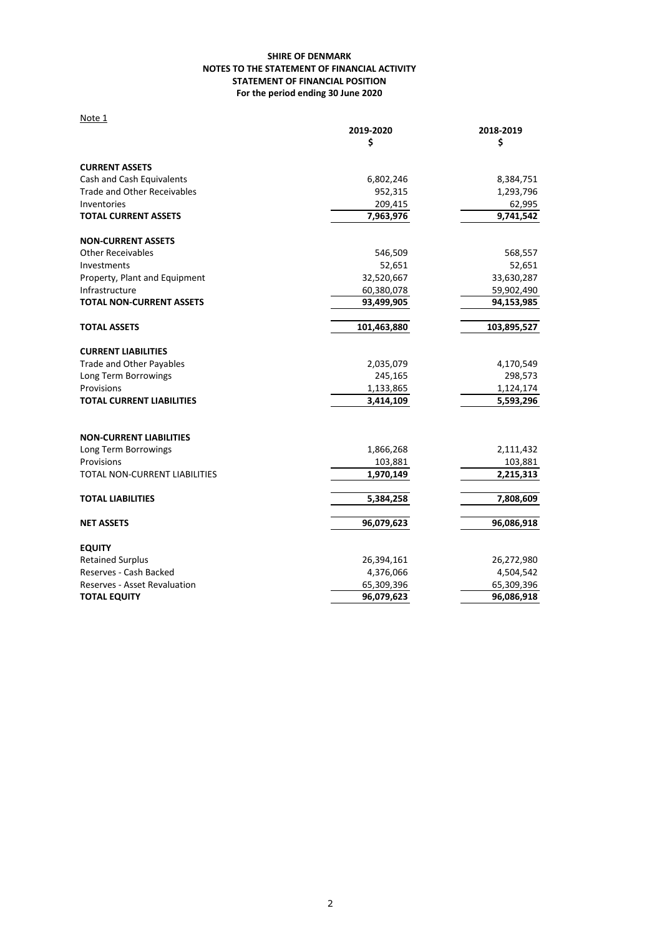### **SHIRE OF DENMARK NOTES TO THE STATEMENT OF FINANCIAL ACTIVITY STATEMENT OF FINANCIAL POSITION For the period ending 30 June 2020**

| Note 1                             |             |             |
|------------------------------------|-------------|-------------|
|                                    | 2019-2020   | 2018-2019   |
|                                    | \$          | \$          |
| <b>CURRENT ASSETS</b>              |             |             |
| Cash and Cash Equivalents          | 6,802,246   | 8,384,751   |
| <b>Trade and Other Receivables</b> | 952,315     | 1,293,796   |
| Inventories                        | 209,415     | 62,995      |
| <b>TOTAL CURRENT ASSETS</b>        | 7,963,976   | 9,741,542   |
| <b>NON-CURRENT ASSETS</b>          |             |             |
| <b>Other Receivables</b>           | 546,509     | 568,557     |
| Investments                        | 52,651      | 52,651      |
| Property, Plant and Equipment      | 32,520,667  | 33,630,287  |
| Infrastructure                     | 60,380,078  | 59,902,490  |
| <b>TOTAL NON-CURRENT ASSETS</b>    | 93,499,905  | 94,153,985  |
| <b>TOTAL ASSETS</b>                | 101,463,880 | 103,895,527 |
| <b>CURRENT LIABILITIES</b>         |             |             |
| Trade and Other Payables           | 2,035,079   | 4,170,549   |
| Long Term Borrowings               | 245,165     | 298,573     |
| Provisions                         | 1,133,865   | 1,124,174   |
| <b>TOTAL CURRENT LIABILITIES</b>   | 3,414,109   | 5,593,296   |
|                                    |             |             |
| <b>NON-CURRENT LIABILITIES</b>     |             |             |
| Long Term Borrowings               | 1,866,268   | 2,111,432   |
| Provisions                         | 103,881     | 103,881     |
| TOTAL NON-CURRENT LIABILITIES      | 1,970,149   | 2,215,313   |
| <b>TOTAL LIABILITIES</b>           | 5,384,258   | 7,808,609   |
| <b>NET ASSETS</b>                  | 96,079,623  | 96,086,918  |
| <b>EQUITY</b>                      |             |             |
| <b>Retained Surplus</b>            | 26,394,161  | 26,272,980  |
| Reserves - Cash Backed             | 4,376,066   | 4,504,542   |
| Reserves - Asset Revaluation       | 65,309,396  | 65,309,396  |
| <b>TOTAL EQUITY</b>                | 96,079,623  | 96,086,918  |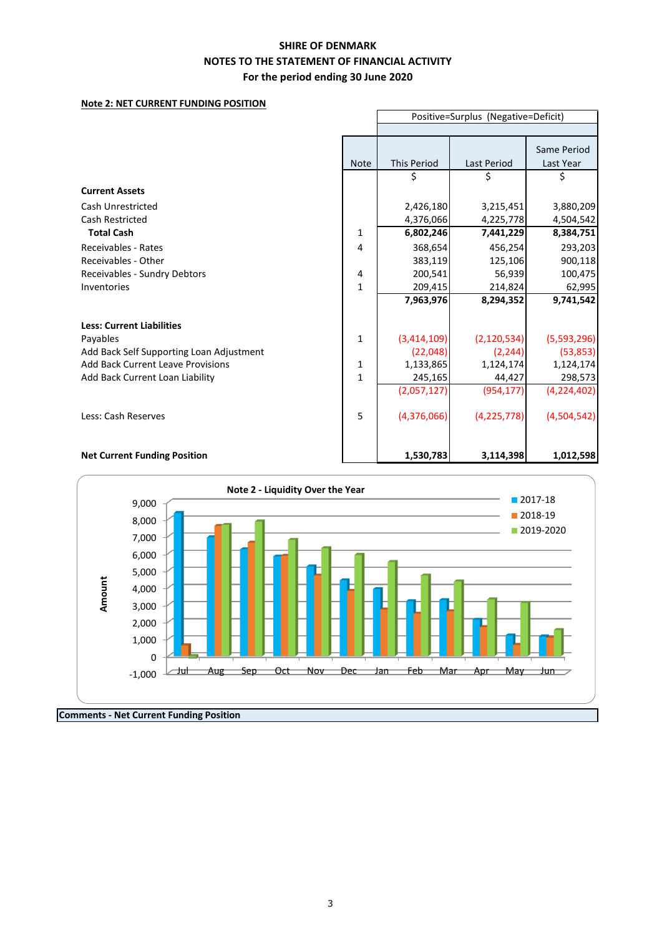### **Note 2: NET CURRENT FUNDING POSITION**

|                                          |              | Positive=Surplus (Negative=Deficit) |                    |             |  |  |  |
|------------------------------------------|--------------|-------------------------------------|--------------------|-------------|--|--|--|
|                                          |              |                                     |                    |             |  |  |  |
|                                          |              |                                     |                    | Same Period |  |  |  |
|                                          | <b>Note</b>  | <b>This Period</b>                  | <b>Last Period</b> | Last Year   |  |  |  |
|                                          |              | \$                                  |                    | \$          |  |  |  |
| <b>Current Assets</b>                    |              |                                     |                    |             |  |  |  |
| Cash Unrestricted                        |              | 2,426,180                           | 3,215,451          | 3,880,209   |  |  |  |
| <b>Cash Restricted</b>                   |              | 4,376,066                           | 4,225,778          | 4,504,542   |  |  |  |
| <b>Total Cash</b>                        | $\mathbf 1$  | 6,802,246                           | 7,441,229          | 8,384,751   |  |  |  |
| Receivables - Rates                      | 4            | 368,654                             | 456,254            | 293,203     |  |  |  |
| <b>Receivables - Other</b>               |              | 383,119                             | 125,106            | 900,118     |  |  |  |
| Receivables - Sundry Debtors             | 4            | 200,541                             | 56,939             | 100,475     |  |  |  |
| Inventories                              | $\mathbf{1}$ | 209,415                             | 214,824            | 62,995      |  |  |  |
|                                          |              | 7,963,976                           | 8,294,352          | 9,741,542   |  |  |  |
| <b>Less: Current Liabilities</b>         |              |                                     |                    |             |  |  |  |
| Payables                                 | $\mathbf{1}$ | (3,414,109)                         | (2, 120, 534)      | (5,593,296) |  |  |  |
| Add Back Self Supporting Loan Adjustment |              | (22, 048)                           | (2, 244)           | (53, 853)   |  |  |  |
| <b>Add Back Current Leave Provisions</b> | 1            | 1,133,865                           | 1,124,174          | 1,124,174   |  |  |  |
| Add Back Current Loan Liability          | 1            | 245,165                             | 44,427             | 298,573     |  |  |  |
|                                          |              | (2,057,127)                         | (954, 177)         | (4,224,402) |  |  |  |
|                                          |              |                                     |                    |             |  |  |  |
| Less: Cash Reserves                      | 5            | (4,376,066)                         | (4, 225, 778)      | (4,504,542) |  |  |  |
|                                          |              |                                     |                    |             |  |  |  |
|                                          |              |                                     |                    |             |  |  |  |
| <b>Net Current Funding Position</b>      |              | 1,530,783                           | 3,114,398          | 1,012,598   |  |  |  |

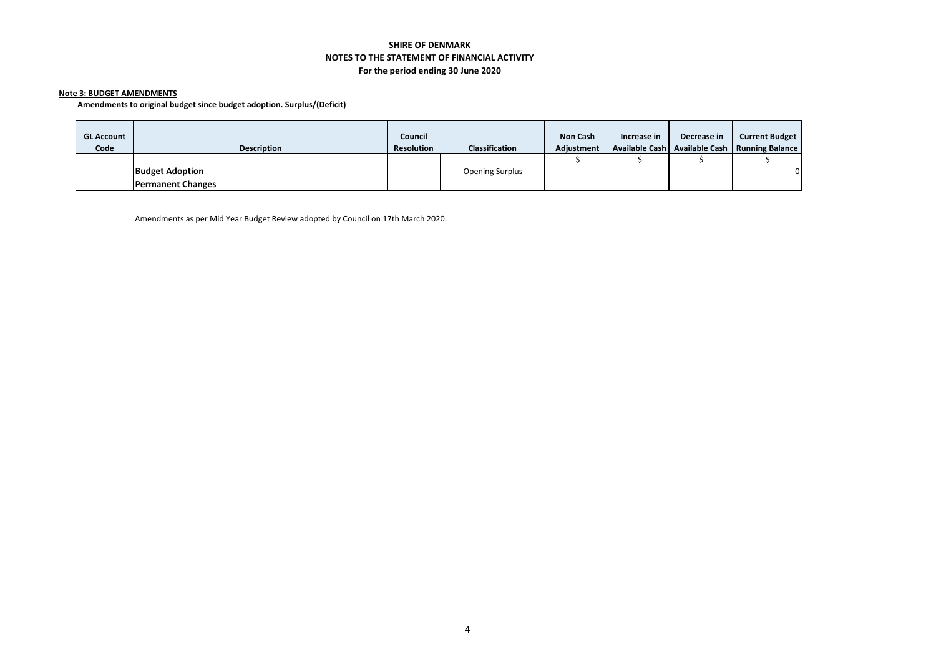#### **Note 3: BUDGET AMENDMENTS**

**Amendments to original budget since budget adoption. Surplus/(Deficit)**

| <b>GL Account</b><br>Code | <b>Description</b>                                 | Council<br><b>Resolution</b> | <b>Classification</b>  | <b>Non Cash</b><br><b>Adiustment</b> | Increase in | Decrease in | <b>Current Budget</b><br>Available Cash   Available Cash   Running Balance |
|---------------------------|----------------------------------------------------|------------------------------|------------------------|--------------------------------------|-------------|-------------|----------------------------------------------------------------------------|
|                           | <b>Budget Adoption</b><br><b>Permanent Changes</b> |                              | <b>Opening Surplus</b> |                                      |             |             | $\overline{0}$                                                             |

Amendments as per Mid Year Budget Review adopted by Council on 17th March 2020.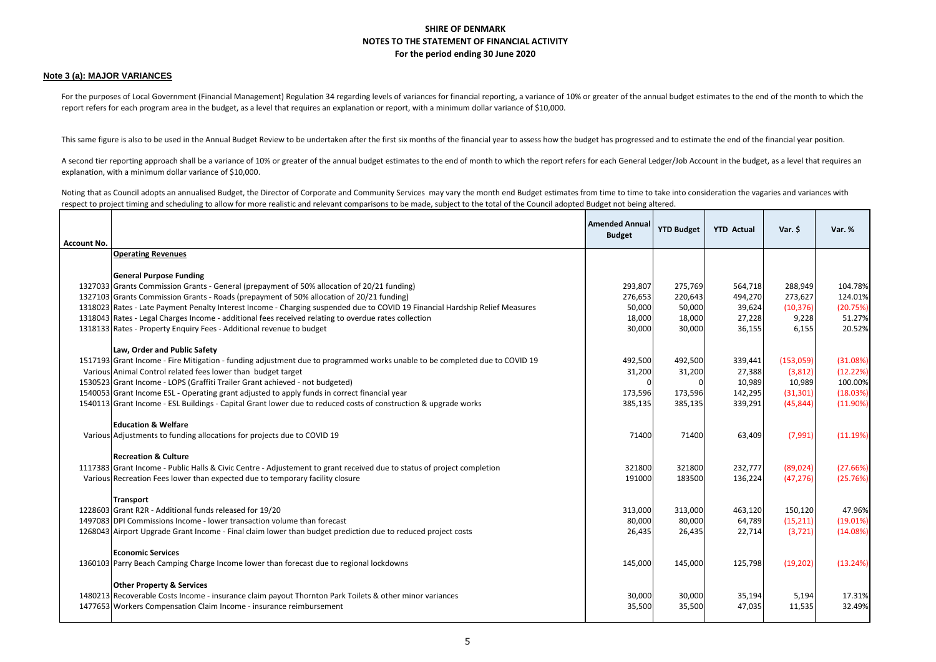#### **Note 3 (a): MAJOR VARIANCES**

For the purposes of Local Government (Financial Management) Regulation 34 regarding levels of variances for financial reporting, a variance of 10% or greater of the annual budget estimates to the end of the month to which report refers for each program area in the budget, as a level that requires an explanation or report, with a minimum dollar variance of \$10,000.

This same figure is also to be used in the Annual Budget Review to be undertaken after the first six months of the financial year to assess how the budget has progressed and to estimate the end of the financial year positi

A second tier reporting approach shall be a variance of 10% or greater of the annual budget estimates to the end of month to which the report refers for each General Ledger/Job Account in the budget, as a level that requir explanation, with a minimum dollar variance of \$10,000.

Noting that as Council adopts an annualised Budget, the Director of Corporate and Community Services may vary the month end Budget estimates from time to take into consideration the vagaries and variances with respect to project timing and scheduling to allow for more realistic and relevant comparisons to be made, subject to the total of the Council adopted Budget not being altered.

| <b>Account No.</b> |                                                                                                                              | <b>Amended Annual</b><br><b>Budget</b> | <b>YTD Budget</b> | <b>YTD Actual</b> | Var. \$   | Var. %   |
|--------------------|------------------------------------------------------------------------------------------------------------------------------|----------------------------------------|-------------------|-------------------|-----------|----------|
|                    | <b>Operating Revenues</b>                                                                                                    |                                        |                   |                   |           |          |
|                    |                                                                                                                              |                                        |                   |                   |           |          |
|                    | <b>General Purpose Funding</b>                                                                                               |                                        |                   |                   |           |          |
|                    | 1327033 Grants Commission Grants - General (prepayment of 50% allocation of 20/21 funding)                                   | 293,807                                | 275,769           | 564,718           | 288,949   | 104.78%  |
|                    | 1327103 Grants Commission Grants - Roads (prepayment of 50% allocation of 20/21 funding)                                     | 276,653                                | 220,643           | 494,270           | 273,627   | 124.01%  |
|                    | 1318023 Rates - Late Payment Penalty Interest Income - Charging suspended due to COVID 19 Financial Hardship Relief Measures | 50,000                                 | 50,000            | 39,624            | (10, 376) | (20.75%) |
|                    | 1318043 Rates - Legal Charges Income - additional fees received relating to overdue rates collection                         | 18,000                                 | 18,000            | 27,228            | 9,228     | 51.27%   |
|                    | 1318133 Rates - Property Enquiry Fees - Additional revenue to budget                                                         | 30,000                                 | 30,000            | 36,155            | 6,155     | 20.52%   |
|                    |                                                                                                                              |                                        |                   |                   |           |          |
|                    | Law, Order and Public Safety                                                                                                 |                                        |                   |                   |           |          |
|                    | 1517193 Grant Income - Fire Mitigation - funding adjustment due to programmed works unable to be completed due to COVID 19   | 492,500                                | 492,500           | 339,441           | (153,059) | (31.08%) |
|                    | Various Animal Control related fees lower than budget target                                                                 | 31,200                                 | 31,200            | 27,388            | (3,812)   | (12.22%) |
|                    | 1530523 Grant Income - LOPS (Graffiti Trailer Grant achieved - not budgeted)                                                 | $\Omega$                               | $\Omega$          | 10,989            | 10,989    | 100.00%  |
|                    | 1540053 Grant Income ESL - Operating grant adjusted to apply funds in correct financial year                                 | 173,596                                | 173,596           | 142,295           | (31, 301) | (18.03%) |
|                    | 1540113 Grant Income - ESL Buildings - Capital Grant lower due to reduced costs of construction & upgrade works              | 385,135                                | 385,135           | 339,291           | (45, 844) | (11.90%) |
|                    |                                                                                                                              |                                        |                   |                   |           |          |
|                    | <b>Education &amp; Welfare</b>                                                                                               |                                        |                   |                   |           |          |
|                    | Various Adjustments to funding allocations for projects due to COVID 19                                                      | 71400                                  | 71400             | 63,409            | (7,991)   | (11.19%) |
|                    | <b>Recreation &amp; Culture</b>                                                                                              |                                        |                   |                   |           |          |
|                    | 1117383 Grant Income - Public Halls & Civic Centre - Adjustement to grant received due to status of project completion       | 321800                                 | 321800            | 232,777           | (89, 024) | (27.66%) |
|                    | Various Recreation Fees lower than expected due to temporary facility closure                                                | 191000                                 | 183500            | 136,224           | (47, 276) | (25.76%) |
|                    |                                                                                                                              |                                        |                   |                   |           |          |
|                    | <b>Transport</b>                                                                                                             |                                        |                   |                   |           |          |
|                    | 1228603 Grant R2R - Additional funds released for 19/20                                                                      | 313,000                                | 313,000           | 463,120           | 150,120   | 47.96%   |
|                    | 1497083 DPI Commissions Income - lower transaction volume than forecast                                                      | 80,000                                 | 80,000            | 64,789            | (15, 211) | (19.01%) |
|                    | 1268043 Airport Upgrade Grant Income - Final claim lower than budget prediction due to reduced project costs                 | 26,435                                 | 26,435            | 22,714            | (3, 721)  | (14.08%) |
|                    |                                                                                                                              |                                        |                   |                   |           |          |
|                    | <b>Economic Services</b>                                                                                                     |                                        |                   |                   |           |          |
|                    | 1360103 Parry Beach Camping Charge Income lower than forecast due to regional lockdowns                                      | 145,000                                | 145,000           | 125,798           | (19, 202) | (13.24%) |
|                    |                                                                                                                              |                                        |                   |                   |           |          |
|                    | <b>Other Property &amp; Services</b>                                                                                         |                                        |                   |                   |           |          |
|                    | 1480213 Recoverable Costs Income - insurance claim payout Thornton Park Toilets & other minor variances                      | 30,000                                 | 30,000            | 35,194            | 5,194     | 17.31%   |
|                    | 1477653 Workers Compensation Claim Income - insurance reimbursement                                                          | 35,500                                 | 35,500            | 47,035            | 11,535    | 32.49%   |
|                    |                                                                                                                              |                                        |                   |                   |           |          |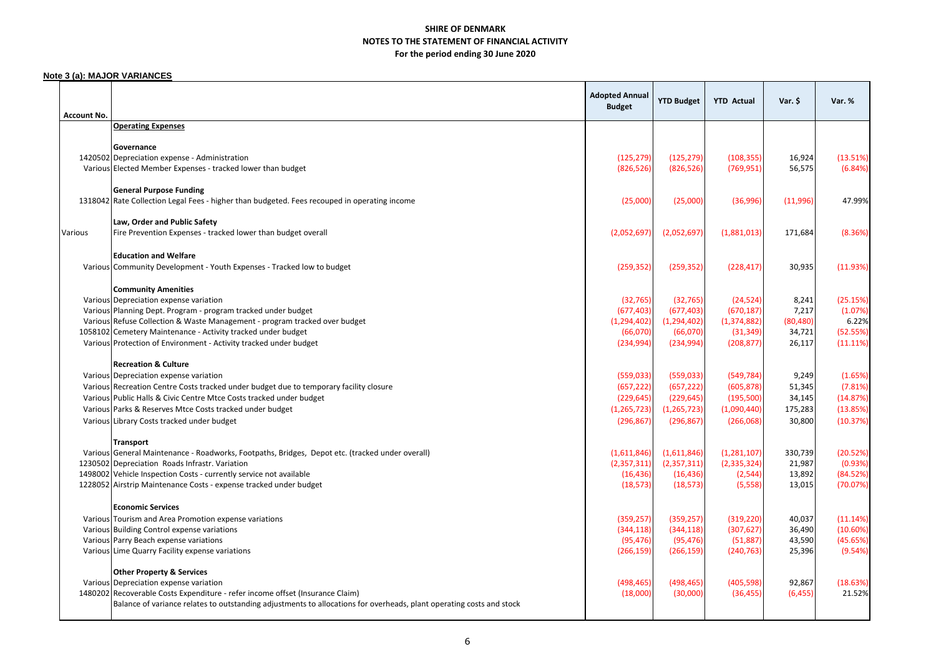#### **Note 3 (a): MAJOR VARIANCES**

| <b>Account No.</b> |                                                                                                                                         | <b>Adopted Annual</b><br><b>Budget</b> | <b>YTD Budget</b>      | <b>YTD Actual</b>          | Var. \$          | Var. %               |
|--------------------|-----------------------------------------------------------------------------------------------------------------------------------------|----------------------------------------|------------------------|----------------------------|------------------|----------------------|
|                    | <b>Operating Expenses</b>                                                                                                               |                                        |                        |                            |                  |                      |
|                    |                                                                                                                                         |                                        |                        |                            |                  |                      |
|                    | Governance                                                                                                                              |                                        |                        |                            |                  |                      |
|                    | 1420502 Depreciation expense - Administration                                                                                           | (125, 279)                             | (125, 279)             | (108, 355)                 | 16,924           | (13.51%)             |
|                    | Various Elected Member Expenses - tracked lower than budget                                                                             | (826, 526)                             | (826, 526)             | (769, 951)                 | 56,575           | (6.84%)              |
|                    | <b>General Purpose Funding</b>                                                                                                          |                                        |                        |                            |                  |                      |
|                    | 1318042 Rate Collection Legal Fees - higher than budgeted. Fees recouped in operating income                                            | (25,000)                               | (25,000)               | (36,996)                   | (11,996)         | 47.99%               |
|                    |                                                                                                                                         |                                        |                        |                            |                  |                      |
|                    | Law, Order and Public Safety                                                                                                            |                                        |                        |                            |                  |                      |
| Various            | Fire Prevention Expenses - tracked lower than budget overall                                                                            | (2,052,697)                            | (2,052,697)            | (1,881,013)                | 171,684          | (8.36%)              |
|                    |                                                                                                                                         |                                        |                        |                            |                  |                      |
|                    | <b>Education and Welfare</b>                                                                                                            |                                        |                        |                            |                  |                      |
|                    | Various Community Development - Youth Expenses - Tracked low to budget                                                                  | (259, 352)                             | (259, 352)             | (228, 417)                 | 30,935           | (11.93%)             |
|                    |                                                                                                                                         |                                        |                        |                            |                  |                      |
|                    | <b>Community Amenities</b>                                                                                                              |                                        |                        |                            |                  |                      |
|                    | Various Depreciation expense variation                                                                                                  | (32, 765)                              | (32, 765)              | (24, 524)                  | 8,241            | (25.15%)             |
|                    | Various Planning Dept. Program - program tracked under budget                                                                           | (677, 403)                             | (677, 403)             | (670, 187)                 | 7,217            | (1.07%)              |
|                    | Various Refuse Collection & Waste Management - program tracked over budget                                                              | (1, 294, 402)                          | (1, 294, 402)          | (1, 374, 882)<br>(31, 349) | (80, 480)        | 6.22%<br>(52.55%)    |
|                    | 1058102 Cemetery Maintenance - Activity tracked under budget<br>Various Protection of Environment - Activity tracked under budget       | (66,070)<br>(234, 994)                 | (66,070)<br>(234, 994) | (208, 877)                 | 34,721<br>26,117 | (11.11%)             |
|                    |                                                                                                                                         |                                        |                        |                            |                  |                      |
|                    | <b>Recreation &amp; Culture</b>                                                                                                         |                                        |                        |                            |                  |                      |
|                    | Various Depreciation expense variation                                                                                                  | (559,033)                              | (559, 033)             | (549, 784)                 | 9,249            | (1.65%)              |
|                    | Various Recreation Centre Costs tracked under budget due to temporary facility closure                                                  | (657, 222)                             | (657, 222)             | (605, 878)                 | 51,345           | (7.81%)              |
|                    | Various Public Halls & Civic Centre Mtce Costs tracked under budget                                                                     | (229, 645)                             | (229, 645)             | (195,500)                  | 34,145           | (14.87%)             |
|                    | Various Parks & Reserves Mtce Costs tracked under budget                                                                                | (1, 265, 723)                          | (1, 265, 723)          | (1,090,440)                | 175,283          | (13.85%)             |
|                    | Various Library Costs tracked under budget                                                                                              | (296, 867)                             | (296, 867)             | (266,068)                  | 30,800           | (10.37%)             |
|                    |                                                                                                                                         |                                        |                        |                            |                  |                      |
|                    | <b>Transport</b>                                                                                                                        |                                        |                        |                            |                  |                      |
|                    | Various General Maintenance - Roadworks, Footpaths, Bridges, Depot etc. (tracked under overall)                                         | (1,611,846)                            | (1,611,846)            | (1,281,107)                | 330,739          | (20.52%)             |
|                    | 1230502 Depreciation Roads Infrastr. Variation                                                                                          | (2,357,311)                            | (2,357,311)            | (2, 335, 324)              | 21,987           | (0.93%)              |
|                    | 1498002 Vehicle Inspection Costs - currently service not available<br>1228052 Airstrip Maintenance Costs - expense tracked under budget | (16, 436)<br>(18, 573)                 | (16, 436)<br>(18, 573) | (2, 544)<br>(5, 558)       | 13,892<br>13,015 | (84.52%)<br>(70.07%) |
|                    |                                                                                                                                         |                                        |                        |                            |                  |                      |
|                    | <b>Economic Services</b>                                                                                                                |                                        |                        |                            |                  |                      |
|                    | Various Tourism and Area Promotion expense variations                                                                                   | (359, 257)                             | (359, 257)             | (319, 220)                 | 40,037           | (11.14%)             |
|                    | Various Building Control expense variations                                                                                             | (344, 118)                             | (344, 118)             | (307, 627)                 | 36,490           | (10.60%)             |
|                    | Various Parry Beach expense variations                                                                                                  | (95, 476)                              | (95, 476)              | (51, 887)                  | 43,590           | (45.65%)             |
|                    | Various Lime Quarry Facility expense variations                                                                                         | (266, 159)                             | (266, 159)             | (240, 763)                 | 25,396           | (9.54%)              |
|                    |                                                                                                                                         |                                        |                        |                            |                  |                      |
|                    | <b>Other Property &amp; Services</b>                                                                                                    |                                        |                        |                            |                  |                      |
|                    | Various Depreciation expense variation                                                                                                  | (498, 465)                             | (498, 465)             | (405, 598)                 | 92,867           | (18.63%)             |
|                    | 1480202 Recoverable Costs Expenditure - refer income offset (Insurance Claim)                                                           | (18,000)                               | (30,000)               | (36, 455)                  | (6, 455)         | 21.52%               |
|                    | Balance of variance relates to outstanding adjustments to allocations for overheads, plant operating costs and stock                    |                                        |                        |                            |                  |                      |
|                    |                                                                                                                                         |                                        |                        |                            |                  |                      |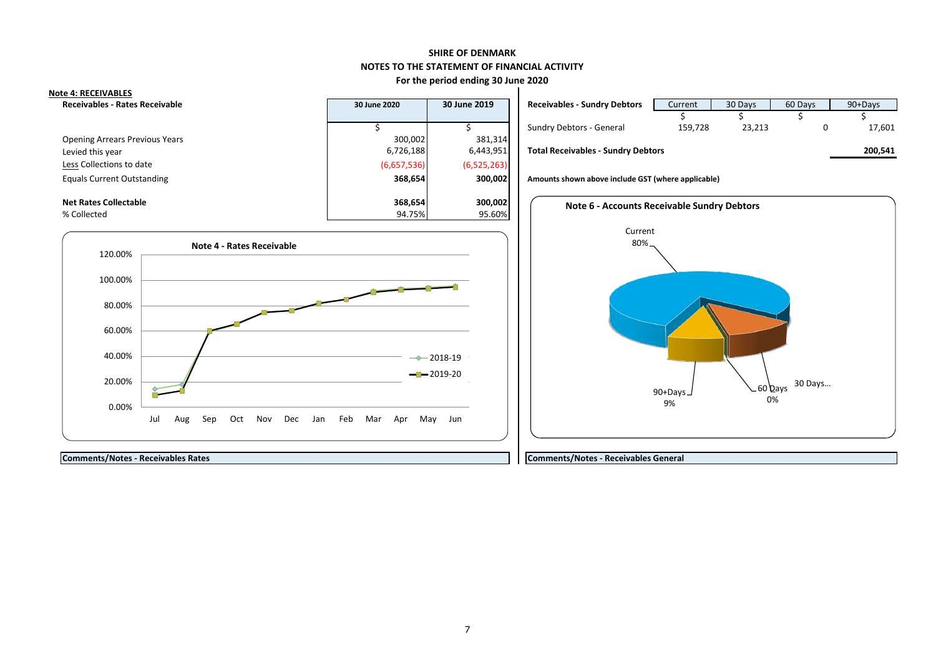### **SHIRE OF DENMARK NOTES TO THE STATEMENT OF FINANCIAL ACTIVITY**

#### **For the period ending 30 June 2020**

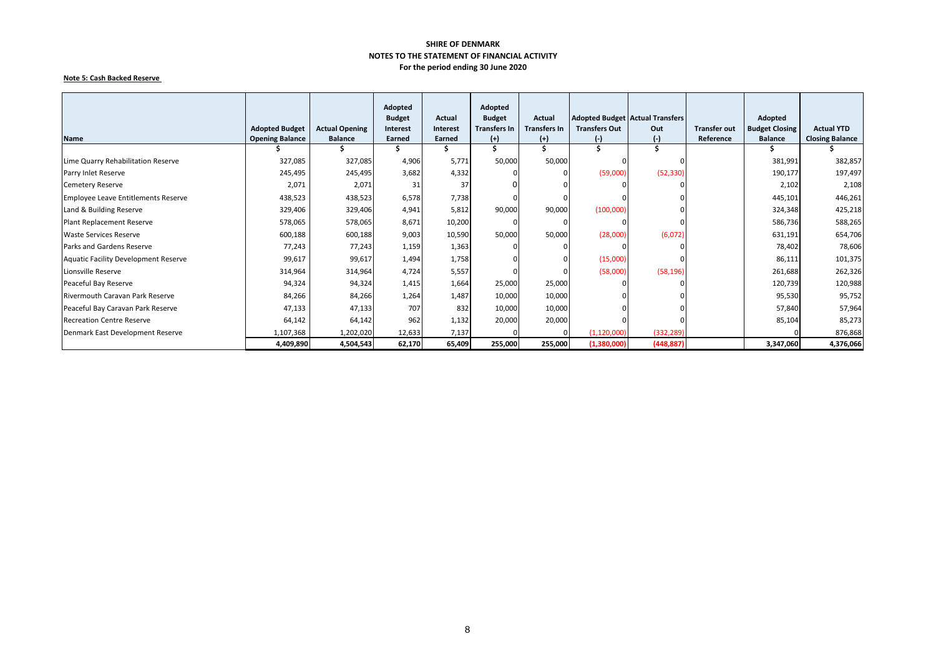#### **Note 5: Cash Backed Reserve**

|                                            |                        |                       | Adopted<br><b>Budget</b> | Actual   | Adopted<br><b>Budget</b> | Actual              |                      | <b>Adopted Budget Actual Transfers</b> |                     | Adopted               |                        |
|--------------------------------------------|------------------------|-----------------------|--------------------------|----------|--------------------------|---------------------|----------------------|----------------------------------------|---------------------|-----------------------|------------------------|
|                                            | <b>Adopted Budget</b>  | <b>Actual Opening</b> | Interest                 | Interest | <b>Transfers In</b>      | <b>Transfers In</b> | <b>Transfers Out</b> | Out                                    | <b>Transfer out</b> | <b>Budget Closing</b> | <b>Actual YTD</b>      |
| <b>Name</b>                                | <b>Opening Balance</b> | <b>Balance</b>        | Earned                   | Earned   | $(+)$                    | $(+)$               | $_{(\text{-})}$      | $(-)$                                  | Reference           | <b>Balance</b>        | <b>Closing Balance</b> |
|                                            |                        |                       |                          |          |                          |                     |                      |                                        |                     |                       |                        |
| Lime Quarry Rehabilitation Reserve         | 327,085                | 327,085               | 4,906                    | 5,771    | 50,000                   | 50,000              |                      |                                        |                     | 381,991               | 382,857                |
| Parry Inlet Reserve                        | 245,495                | 245,495               | 3,682                    | 4,332    |                          |                     | (59,000)             | (52, 330)                              |                     | 190,177               | 197,497                |
| <b>Cemetery Reserve</b>                    | 2,071                  | 2,071                 | 31                       | 37       |                          |                     |                      |                                        |                     | 2,102                 | 2,108                  |
| <b>Employee Leave Entitlements Reserve</b> | 438,523                | 438,523               | 6,578                    | 7,738    |                          |                     |                      |                                        |                     | 445,101               | 446,261                |
| Land & Building Reserve                    | 329,406                | 329,406               | 4,941                    | 5,812    | 90,000                   | 90,000              | (100,000)            |                                        |                     | 324,348               | 425,218                |
| Plant Replacement Reserve                  | 578,065                | 578,065               | 8,671                    | 10,200   | $\Omega$                 |                     |                      |                                        |                     | 586,736               | 588,265                |
| <b>Waste Services Reserve</b>              | 600,188                | 600,188               | 9,003                    | 10,590   | 50,000                   | 50,000              | (28,000)             | (6,072)                                |                     | 631,191               | 654,706                |
| Parks and Gardens Reserve                  | 77,243                 | 77,243                | 1,159                    | 1,363    |                          |                     |                      |                                        |                     | 78,402                | 78,606                 |
| Aquatic Facility Development Reserve       | 99,617                 | 99,617                | 1,494                    | 1,758    |                          |                     | (15,000)             |                                        |                     | 86,111                | 101,375                |
| Lionsville Reserve                         | 314,964                | 314,964               | 4,724                    | 5,557    |                          |                     | (58,000)             | (58, 196)                              |                     | 261,688               | 262,326                |
| Peaceful Bay Reserve                       | 94,324                 | 94,324                | 1,415                    | 1,664    | 25,000                   | 25,000              |                      |                                        |                     | 120,739               | 120,988                |
| <b>Rivermouth Caravan Park Reserve</b>     | 84,266                 | 84,266                | 1,264                    | 1,487    | 10,000                   | 10,000              |                      |                                        |                     | 95,530                | 95,752                 |
| Peaceful Bay Caravan Park Reserve          | 47,133                 | 47,133                | 707                      | 832      | 10,000                   | 10,000              |                      |                                        |                     | 57,840                | 57,964                 |
| <b>Recreation Centre Reserve</b>           | 64,142                 | 64,142                | 962                      | 1,132    | 20,000                   | 20,000              |                      |                                        |                     | 85,104                | 85,273                 |
| Denmark East Development Reserve           | 1,107,368              | 1,202,020             | 12,633                   | 7,137    |                          |                     | (1, 120, 000)        | (332, 289)                             |                     |                       | 876,868                |
|                                            | 4,409,890              | 4,504,543             | 62,170                   | 65,409   | 255,000                  | 255,000             | (1,380,000)          | (448, 887)                             |                     | 3,347,060             | 4,376,066              |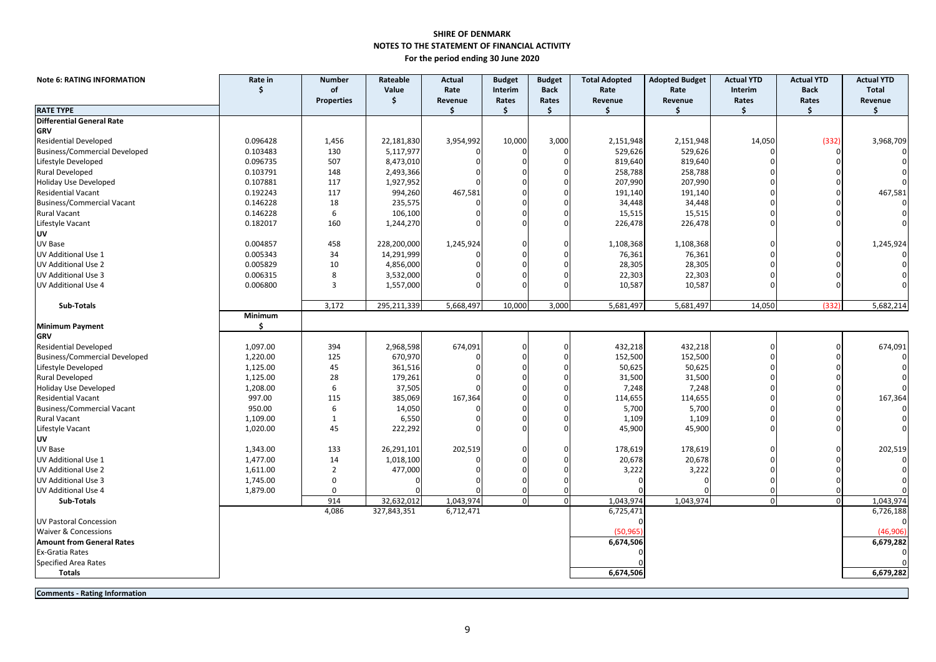| <b>Note 6: RATING INFORMATION</b>    | Rate in  | <b>Number</b>     | Rateable    | <b>Actual</b> | <b>Budget</b>  | <b>Budget</b> | <b>Total Adopted</b> | <b>Adopted Budget</b> | <b>Actual YTD</b> | <b>Actual YTD</b>      | <b>Actual YTD</b> |
|--------------------------------------|----------|-------------------|-------------|---------------|----------------|---------------|----------------------|-----------------------|-------------------|------------------------|-------------------|
|                                      | \$       | of                | Value       | Rate          | Interim        | <b>Back</b>   | Rate                 | Rate                  | Interim           | <b>Back</b>            | <b>Total</b>      |
| <b>RATE TYPE</b>                     |          | <b>Properties</b> | \$          | Revenue<br>\$ | Rates<br>\$    | Rates<br>\$   | Revenue<br>\$        | Revenue<br>\$         | Rates<br>Ś.       | Rates<br>$\mathsf{\$}$ | Revenue<br>\$     |
| <b>Differential General Rate</b>     |          |                   |             |               |                |               |                      |                       |                   |                        |                   |
| GRV                                  |          |                   |             |               |                |               |                      |                       |                   |                        |                   |
| <b>Residential Developed</b>         | 0.096428 | 1,456             | 22,181,830  | 3,954,992     | 10,000         | 3,000         | 2,151,948            | 2,151,948             | 14,050            | (332)                  | 3,968,709         |
| <b>Business/Commercial Developed</b> | 0.103483 | 130               | 5,117,977   |               |                |               | 529,626              | 529,626               |                   |                        |                   |
| Lifestyle Developed                  | 0.096735 | 507               | 8,473,010   |               |                |               | 819,640              | 819,640               |                   |                        |                   |
| Rural Developed                      | 0.103791 | 148               | 2,493,366   |               |                |               | 258,788              | 258,788               |                   |                        |                   |
| Holiday Use Developed                | 0.107881 | 117               | 1,927,952   |               |                |               | 207,990              | 207,990               |                   |                        |                   |
| <b>Residential Vacant</b>            | 0.192243 | 117               | 994,260     | 467,581       |                |               | 191,140              | 191,140               |                   |                        | 467,581           |
| <b>Business/Commercial Vacant</b>    | 0.146228 | 18                | 235,575     |               |                |               | 34,448               | 34,448                |                   |                        |                   |
| <b>Rural Vacant</b>                  | 0.146228 | 6                 | 106,100     |               |                |               | 15,515               | 15,515                |                   |                        |                   |
| Lifestyle Vacant                     | 0.182017 | 160               | 1,244,270   |               |                |               | 226,478              | 226,478               |                   |                        |                   |
| UV                                   |          |                   |             |               |                |               |                      |                       |                   |                        |                   |
| UV Base                              | 0.004857 | 458               | 228,200,000 | 1,245,924     |                |               | 1,108,368            | 1,108,368             |                   |                        | 1,245,924         |
| UV Additional Use 1                  | 0.005343 | 34                | 14,291,999  |               |                |               | 76,361               | 76,361                |                   |                        |                   |
| <b>UV Additional Use 2</b>           | 0.005829 | 10                | 4,856,000   |               |                |               | 28,305               | 28,305                |                   |                        |                   |
| <b>UV Additional Use 3</b>           | 0.006315 | 8                 | 3,532,000   |               |                |               | 22,303               | 22,303                |                   |                        |                   |
| UV Additional Use 4                  | 0.006800 | $\overline{3}$    | 1,557,000   |               |                |               | 10,587               | 10,587                |                   |                        |                   |
|                                      |          |                   |             |               |                |               |                      |                       |                   |                        |                   |
| <b>Sub-Totals</b>                    |          | 3,172             | 295,211,339 | 5,668,497     | 10,000         | 3,000         | 5,681,497            | 5,681,497             | 14,050            | (332)                  | 5,682,214         |
|                                      | Minimum  |                   |             |               |                |               |                      |                       |                   |                        |                   |
| <b>Minimum Payment</b>               | \$       |                   |             |               |                |               |                      |                       |                   |                        |                   |
| GRV                                  |          |                   |             |               |                |               |                      |                       |                   |                        |                   |
| <b>Residential Developed</b>         | 1,097.00 | 394               | 2,968,598   | 674,091       |                |               | 432,218              | 432,218               |                   |                        | 674,091           |
| <b>Business/Commercial Developed</b> | 1,220.00 | 125               | 670,970     |               |                |               | 152,500              | 152,500               |                   |                        |                   |
| Lifestyle Developed                  | 1,125.00 | 45                | 361,516     |               |                |               | 50,625               | 50,625                |                   |                        |                   |
| Rural Developed                      | 1,125.00 | 28                | 179,261     |               |                |               | 31,500               | 31,500                |                   |                        |                   |
| Holiday Use Developed                | 1,208.00 | 6                 | 37,505      |               |                |               | 7,248                | 7,248                 |                   |                        |                   |
| <b>Residential Vacant</b>            | 997.00   | 115               | 385,069     | 167,364       |                |               | 114,655              | 114,655               |                   |                        | 167,364           |
| <b>Business/Commercial Vacant</b>    | 950.00   | 6                 | 14,050      |               |                |               | 5,700                | 5,700                 |                   |                        |                   |
| <b>Rural Vacant</b>                  | 1,109.00 | $\mathbf{1}$      | 6,550       |               |                |               | 1,109                | 1,109                 |                   |                        |                   |
| Lifestyle Vacant                     | 1,020.00 | 45                | 222,292     |               |                |               | 45,900               | 45,900                |                   |                        |                   |
| UV                                   |          |                   |             |               |                |               |                      |                       |                   |                        |                   |
| UV Base                              | 1,343.00 | 133               | 26,291,101  | 202,519       |                |               | 178,619              | 178,619               |                   |                        | 202,519           |
| UV Additional Use 1                  | 1,477.00 | 14                | 1,018,100   |               |                |               | 20,678               | 20,678                |                   |                        |                   |
| <b>UV Additional Use 2</b>           | 1,611.00 | $\overline{2}$    | 477,000     |               |                |               | 3,222                | 3,222                 |                   |                        |                   |
| UV Additional Use 3                  | 1,745.00 | $\mathbf 0$       |             |               |                |               |                      |                       |                   |                        |                   |
| UV Additional Use 4                  | 1,879.00 | $\Omega$          |             |               |                |               |                      |                       |                   |                        |                   |
| Sub-Totals                           |          | 914               | 32,632,012  | 1,043,974     | $\overline{0}$ | $\Omega$      | 1,043,974            | 1,043,974             | $\mathbf 0$       | $\Omega$               | 1,043,974         |
|                                      |          | 4,086             | 327,843,351 | 6,712,471     |                |               | 6,725,471            |                       |                   |                        | 6,726,188         |
| <b>UV Pastoral Concession</b>        |          |                   |             |               |                |               |                      |                       |                   |                        |                   |
| Waiver & Concessions                 |          |                   |             |               |                |               | (50, 965)            |                       |                   |                        | (46,906)          |
| <b>Amount from General Rates</b>     |          |                   |             |               |                |               | 6,674,506            |                       |                   |                        | 6,679,282         |
| <b>Ex-Gratia Rates</b>               |          |                   |             |               |                |               |                      |                       |                   |                        | $\Omega$          |
| <b>Specified Area Rates</b>          |          |                   |             |               |                |               |                      |                       |                   |                        |                   |
| <b>Totals</b>                        |          |                   |             |               |                |               | 6,674,506            |                       |                   |                        | 6,679,282         |
|                                      |          |                   |             |               |                |               |                      |                       |                   |                        |                   |

**Comments - Rating Information**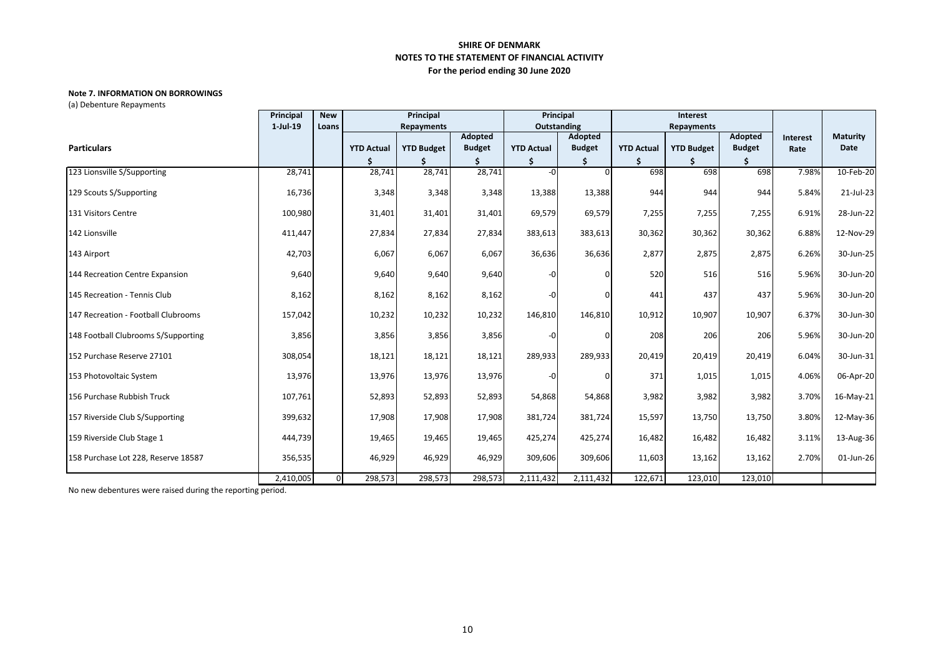#### **Note 7. INFORMATION ON BORROWINGS**

(a) Debenture Repayments

|                                     | Principal | <b>New</b> |                   | Principal         |               | Principal<br>Interest |               |                   |                   |               |          |                 |
|-------------------------------------|-----------|------------|-------------------|-------------------|---------------|-----------------------|---------------|-------------------|-------------------|---------------|----------|-----------------|
|                                     | 1-Jul-19  | Loans      |                   | Repayments        |               |                       | Outstanding   |                   | Repayments        |               |          |                 |
|                                     |           |            |                   |                   | Adopted       |                       | Adopted       |                   |                   | Adopted       | Interest | <b>Maturity</b> |
| <b>Particulars</b>                  |           |            | <b>YTD Actual</b> | <b>YTD Budget</b> | <b>Budget</b> | <b>YTD Actual</b>     | <b>Budget</b> | <b>YTD Actual</b> | <b>YTD Budget</b> | <b>Budget</b> | Rate     | Date            |
|                                     |           |            |                   |                   |               |                       |               |                   |                   |               |          |                 |
| 123 Lionsville S/Supporting         | 28,741    |            | 28,741            | 28,741            | 28,741        | $-0$                  |               | 698               | 698               | 698           | 7.98%    | 10-Feb-20       |
| 129 Scouts S/Supporting             | 16,736    |            | 3,348             | 3,348             | 3,348         | 13,388                | 13,388        | 944               | 944               | 944           | 5.84%    | 21-Jul-23       |
| 131 Visitors Centre                 | 100,980   |            | 31,401            | 31,401            | 31,401        | 69,579                | 69,579        | 7,255             | 7,255             | 7,255         | 6.91%    | 28-Jun-22       |
| 142 Lionsville                      | 411,447   |            | 27,834            | 27,834            | 27,834        | 383,613               | 383,613       | 30,362            | 30,362            | 30,362        | 6.88%    | 12-Nov-29       |
| 143 Airport                         | 42,703    |            | 6,067             | 6,067             | 6,067         | 36,636                | 36,636        | 2,877             | 2,875             | 2,875         | 6.26%    | 30-Jun-25       |
| 144 Recreation Centre Expansion     | 9,640     |            | 9,640             | 9,640             | 9,640         | -0                    |               | 520               | 516               | 516           | 5.96%    | 30-Jun-20       |
| 145 Recreation - Tennis Club        | 8,162     |            | 8,162             | 8,162             | 8,162         | -0                    |               | 441               | 437               | 437           | 5.96%    | 30-Jun-20       |
| 147 Recreation - Football Clubrooms | 157,042   |            | 10,232            | 10,232            | 10,232        | 146,810               | 146,810       | 10,912            | 10,907            | 10,907        | 6.37%    | 30-Jun-30       |
| 148 Football Clubrooms S/Supporting | 3,856     |            | 3,856             | 3,856             | 3,856         | $-0$                  |               | 208               | 206               | 206           | 5.96%    | 30-Jun-20       |
| 152 Purchase Reserve 27101          | 308,054   |            | 18,121            | 18,121            | 18,121        | 289,933               | 289,933       | 20,419            | 20,419            | 20,419        | 6.04%    | 30-Jun-31       |
| 153 Photovoltaic System             | 13,976    |            | 13,976            | 13,976            | 13,976        | -0                    |               | 371               | 1,015             | 1,015         | 4.06%    | 06-Apr-20       |
| 156 Purchase Rubbish Truck          | 107,761   |            | 52,893            | 52,893            | 52,893        | 54,868                | 54,868        | 3,982             | 3,982             | 3,982         | 3.70%    | 16-May-21       |
| 157 Riverside Club S/Supporting     | 399,632   |            | 17,908            | 17,908            | 17,908        | 381,724               | 381,724       | 15,597            | 13,750            | 13,750        | 3.80%    | 12-May-36       |
| 159 Riverside Club Stage 1          | 444,739   |            | 19,465            | 19,465            | 19,465        | 425,274               | 425,274       | 16,482            | 16,482            | 16,482        | 3.11%    | 13-Aug-36       |
| 158 Purchase Lot 228, Reserve 18587 | 356,535   |            | 46,929            | 46,929            | 46,929        | 309,606               | 309,606       | 11,603            | 13,162            | 13,162        | 2.70%    | 01-Jun-26       |
|                                     | 2,410,005 | $\Omega$   | 298,573           | 298,573           | 298,573       | 2,111,432             | 2,111,432     | 122,671           | 123,010           | 123,010       |          |                 |

No new debentures were raised during the reporting period.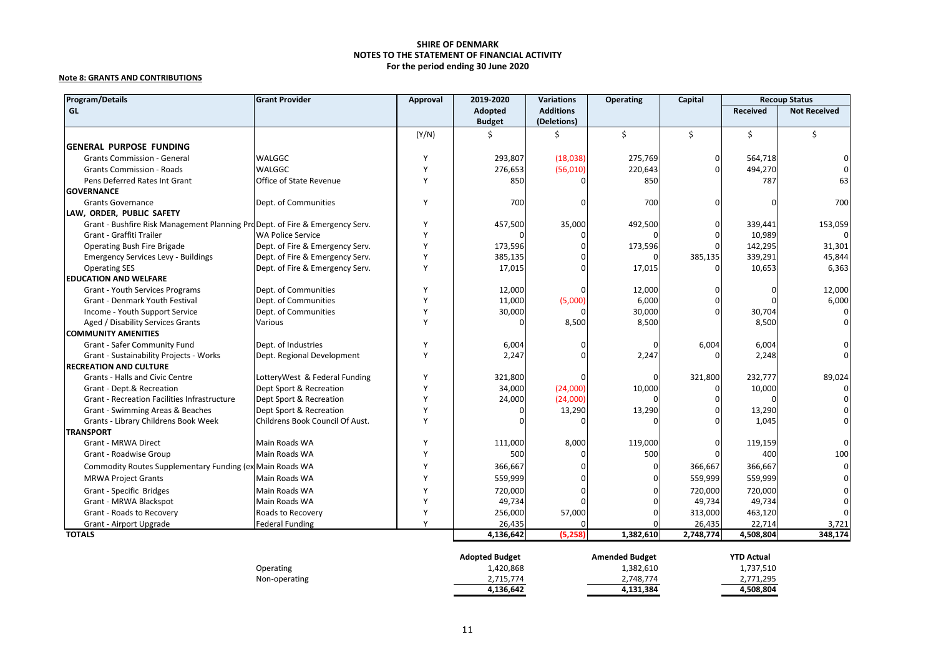#### **Note 8: GRANTS AND CONTRIBUTIONS**

| <b>Program/Details</b>                                                        | <b>Grant Provider</b>           | Approval     | 2019-2020                | <b>Variations</b>               | <b>Operating</b> | Capital       |                 | <b>Recoup Status</b> |
|-------------------------------------------------------------------------------|---------------------------------|--------------|--------------------------|---------------------------------|------------------|---------------|-----------------|----------------------|
| GL                                                                            |                                 |              | Adopted<br><b>Budget</b> | <b>Additions</b><br>(Deletions) |                  |               | <b>Received</b> | <b>Not Received</b>  |
|                                                                               |                                 | (Y/N)        |                          |                                 | Ś.               | \$            | Ś.              | Ś.                   |
| <b>GENERAL PURPOSE FUNDING</b>                                                |                                 |              |                          |                                 |                  |               |                 |                      |
|                                                                               |                                 | Y            | 293,807                  | (18,038)                        | 275,769          |               | 564,718         |                      |
| <b>Grants Commission - General</b>                                            | WALGGC<br>WALGGC                | Y            |                          |                                 |                  | 0<br>$\Omega$ |                 |                      |
| <b>Grants Commission - Roads</b><br>Pens Deferred Rates Int Grant             | Office of State Revenue         | Y            | 276,653<br>850           | (56,010)                        | 220,643<br>850   |               | 494,270<br>787  | 63                   |
| <b>GOVERNANCE</b>                                                             |                                 |              |                          |                                 |                  |               |                 |                      |
| <b>Grants Governance</b>                                                      | Dept. of Communities            | Y            | 700                      |                                 | 700              | $\Omega$      |                 | 700                  |
| LAW, ORDER, PUBLIC SAFETY                                                     |                                 |              |                          |                                 |                  |               |                 |                      |
| Grant - Bushfire Risk Management Planning Prd Dept. of Fire & Emergency Serv. |                                 |              | 457,500                  | 35,000                          | 492,500          |               | 339,441         | 153,059              |
| Grant - Graffiti Trailer                                                      | <b>WA Police Service</b>        | $\checkmark$ |                          |                                 |                  |               | 10,989          |                      |
| Operating Bush Fire Brigade                                                   | Dept. of Fire & Emergency Serv. |              | 173,596                  |                                 | 173,596          | $\Omega$      | 142,295         | 31,301               |
| <b>Emergency Services Levy - Buildings</b>                                    | Dept. of Fire & Emergency Serv. |              | 385,135                  |                                 |                  | 385,135       | 339,291         | 45,844               |
| <b>Operating SES</b>                                                          | Dept. of Fire & Emergency Serv. | Y            | 17,015                   |                                 | 17,015           | U             | 10,653          | 6,363                |
| <b>EDUCATION AND WELFARE</b>                                                  |                                 |              |                          |                                 |                  |               |                 |                      |
|                                                                               | Dept. of Communities            | $\checkmark$ |                          |                                 |                  |               |                 |                      |
| Grant - Youth Services Programs<br><b>Grant - Denmark Youth Festival</b>      | Dept. of Communities            |              | 12,000                   |                                 | 12,000           | $\Omega$      |                 | 12,000               |
|                                                                               |                                 |              | 11,000                   | (5,000)                         | 6,000            | $\Omega$      |                 | 6,000                |
| Income - Youth Support Service                                                | Dept. of Communities            | Y            | 30,000                   |                                 | 30,000           |               | 30,704          |                      |
| Aged / Disability Services Grants                                             | Various                         |              |                          | 8,500                           | 8,500            |               | 8,500           |                      |
| <b>COMMUNITY AMENITIES</b>                                                    |                                 |              |                          |                                 |                  |               |                 |                      |
| Grant - Safer Community Fund                                                  | Dept. of Industries             | Y<br>Y       | 6,004                    |                                 |                  | 6,004         | 6,004           |                      |
| Grant - Sustainability Projects - Works                                       | Dept. Regional Development      |              | 2,247                    |                                 | 2,247            |               | 2,248           |                      |
| <b>RECREATION AND CULTURE</b>                                                 |                                 |              |                          |                                 |                  |               |                 |                      |
| Grants - Halls and Civic Centre                                               | LotteryWest & Federal Funding   | Y            | 321,800                  |                                 | n                | 321,800       | 232,777         | 89,024               |
| Grant - Dept.& Recreation                                                     | Dept Sport & Recreation         |              | 34,000                   | (24,000)                        | 10,000           | U             | 10,000          |                      |
| Grant - Recreation Facilities Infrastructure                                  | Dept Sport & Recreation         | $\checkmark$ | 24,000                   | (24,000)                        |                  |               |                 |                      |
| Grant - Swimming Areas & Beaches                                              | Dept Sport & Recreation         |              |                          | 13,290                          | 13,290           |               | 13,290          |                      |
| Grants - Library Childrens Book Week                                          | Childrens Book Council Of Aust. |              |                          |                                 |                  |               | 1,045           |                      |
| <b>TRANSPORT</b>                                                              |                                 |              |                          |                                 |                  |               |                 |                      |
| <b>Grant - MRWA Direct</b>                                                    | Main Roads WA                   |              | 111,000                  | 8,000                           | 119,000          | O             | 119,159         |                      |
| Grant - Roadwise Group                                                        | Main Roads WA                   | Y            | 500                      |                                 | 500              |               | 400             | 100                  |
| Commodity Routes Supplementary Funding (ex Main Roads WA                      |                                 |              | 366,667                  |                                 | $\Omega$         | 366,667       | 366,667         |                      |
| <b>MRWA Project Grants</b>                                                    | Main Roads WA                   |              | 559,999                  |                                 |                  | 559,999       | 559,999         |                      |
| Grant - Specific Bridges                                                      | Main Roads WA                   |              | 720,000                  |                                 |                  | 720,000       | 720,000         |                      |
| Grant - MRWA Blackspot                                                        | Main Roads WA                   | $\checkmark$ | 49,734                   |                                 |                  | 49,734        | 49,734          |                      |
| Grant - Roads to Recovery                                                     | Roads to Recovery               |              | 256,000                  | 57,000                          |                  | 313,000       | 463,120         |                      |
| Grant - Airport Upgrade                                                       | <b>Federal Funding</b>          | $\mathsf{v}$ | 26,435                   |                                 |                  | 26,435        | 22,714          | 3,721                |
| <b>TOTALS</b>                                                                 |                                 |              | 4,136,642                | (5,258)                         | 1,382,610        | 2,748,774     | 4,508,804       | 348,174              |

| <b>YTD Actual</b> | <b>Amended Budget</b> | <b>Adopted Budget</b> |                  |
|-------------------|-----------------------|-----------------------|------------------|
| 1,737,510         | 1,382,610             | 1.420.868             | <b>Operating</b> |
| 2,771,295         | 2,748,774             | 2,715,774             | Non-operating    |
| 4.508.804         | 4.131.384             | 4.136.642             |                  |
|                   |                       |                       |                  |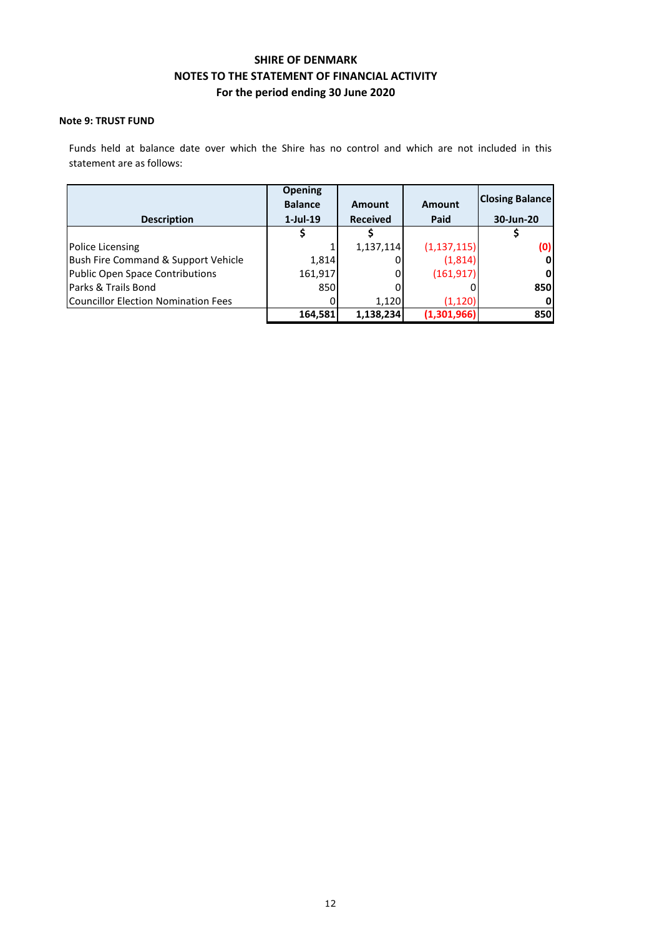### **Note 9: TRUST FUND**

Funds held at balance date over which the Shire has no control and which are not included in this statement are as follows:

|                                     | <b>Opening</b> |                 |               | <b>Closing Balance</b> |
|-------------------------------------|----------------|-----------------|---------------|------------------------|
|                                     | <b>Balance</b> | Amount          | <b>Amount</b> |                        |
| <b>Description</b>                  | $1$ -Jul-19    | <b>Received</b> | Paid          | 30-Jun-20              |
|                                     |                |                 |               |                        |
| Police Licensing                    |                | 1,137,114       | (1, 137, 115) | (0)                    |
| Bush Fire Command & Support Vehicle | 1,814          |                 | (1,814)       | 0                      |
| Public Open Space Contributions     | 161,917        |                 | (161, 917)    | 0                      |
| Parks & Trails Bond                 | 850            |                 |               | 850                    |
| Councillor Election Nomination Fees |                | 1.120           | (1.120)       |                        |
|                                     | 164,581        | 1,138,234       | (1,301,966)   | 850                    |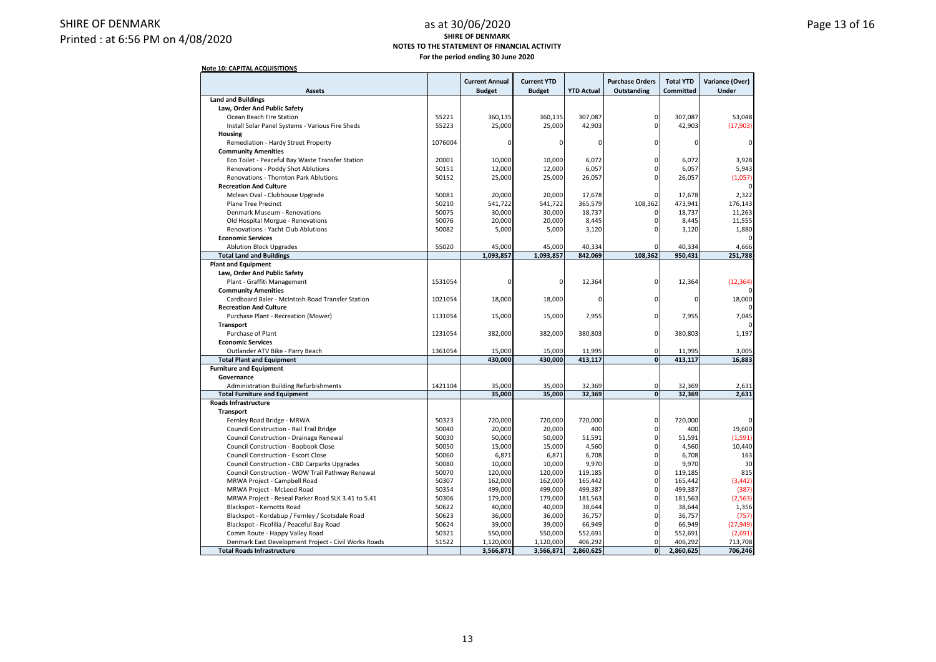### SHIRE OF DENMARK Printed : at 6:56 PM on 4/08/2020

#### as at 30/06/2020 **Page 13 of 16 SHIRE OF DENMARK NOTES TO THE STATEMENT OF FINANCIAL ACTIVITY For the period ending 30 June 2020**

| <b>Assets</b>                                                                                |                | <b>Current Annual</b><br><b>Budget</b> | <b>Current YTD</b><br><b>Budget</b> | <b>YTD Actual</b> | <b>Purchase Orders</b><br><b>Outstanding</b> | <b>Total YTD</b><br><b>Committed</b> | Variance (Over)<br>Under |
|----------------------------------------------------------------------------------------------|----------------|----------------------------------------|-------------------------------------|-------------------|----------------------------------------------|--------------------------------------|--------------------------|
| <b>Land and Buildings</b>                                                                    |                |                                        |                                     |                   |                                              |                                      |                          |
| Law, Order And Public Safety                                                                 |                |                                        |                                     |                   |                                              |                                      |                          |
| Ocean Beach Fire Station                                                                     | 55221          | 360,135                                | 360,135                             | 307,087           | 0                                            | 307,087                              | 53,048                   |
| Install Solar Panel Systems - Various Fire Sheds                                             | 55223          | 25,000                                 | 25,000                              | 42,903            | 0                                            | 42,903                               | (17,903)                 |
| Housing                                                                                      |                |                                        |                                     |                   |                                              |                                      |                          |
| Remediation - Hardy Street Property                                                          | 1076004        | $\mathbf 0$                            | 0                                   | $\Omega$          | $\Omega$                                     | 0                                    |                          |
| <b>Community Amenities</b>                                                                   |                |                                        |                                     |                   |                                              |                                      |                          |
| Eco Toilet - Peaceful Bay Waste Transfer Station                                             | 20001          | 10,000                                 | 10,000                              | 6,072             | $\Omega$                                     | 6,072                                | 3,928                    |
| Renovations - Poddy Shot Ablutions                                                           | 50151          | 12,000                                 | 12,000                              | 6,057             | $\Omega$                                     | 6,057                                | 5,943                    |
| <b>Renovations - Thornton Park Ablutions</b>                                                 | 50152          | 25,000                                 | 25,000                              | 26,057            |                                              | 26,057                               | (1,057)                  |
| <b>Recreation And Culture</b>                                                                |                |                                        |                                     |                   |                                              |                                      |                          |
| Mclean Oval - Clubhouse Upgrade                                                              | 50081          | 20,000                                 | 20,000                              | 17,678            |                                              | 17,678                               | 2,322                    |
| <b>Plane Tree Precinct</b>                                                                   | 50210          | 541,722                                | 541,722                             | 365,579           | 108,362                                      | 473,941                              | 176,143                  |
| Denmark Museum - Renovations                                                                 | 50075          | 30,000                                 | 30,000                              | 18,737            | $\Omega$                                     | 18,737                               | 11,263                   |
| Old Hospital Morgue - Renovations                                                            | 50076          | 20,000                                 | 20,000                              | 8,445             | 0                                            | 8,445                                | 11,555                   |
| Renovations - Yacht Club Ablutions                                                           | 50082          | 5,000                                  | 5,000                               | 3,120             |                                              | 3,120                                | 1,880                    |
| <b>Economic Services</b>                                                                     |                |                                        |                                     |                   |                                              |                                      |                          |
| <b>Ablution Block Upgrades</b>                                                               | 55020          | 45,000                                 | 45,000                              | 40,334            | $\Omega$                                     | 40,334                               | 4,666                    |
|                                                                                              |                | 1,093,857                              | 1,093,857                           | 842,069           | 108,362                                      | 950,431                              | 251,788                  |
| <b>Total Land and Buildings</b><br><b>Plant and Equipment</b>                                |                |                                        |                                     |                   |                                              |                                      |                          |
|                                                                                              |                |                                        |                                     |                   |                                              |                                      |                          |
| Law, Order And Public Safety                                                                 |                |                                        |                                     |                   |                                              |                                      |                          |
| Plant - Graffiti Management                                                                  | 1531054        | $\mathbf 0$                            | 0                                   | 12,364            | 0                                            | 12,364                               | (12, 364)                |
| <b>Community Amenities</b>                                                                   | 1021054        |                                        |                                     |                   |                                              |                                      |                          |
| Cardboard Baler - McIntosh Road Transfer Station                                             |                | 18,000                                 | 18,000                              | $\Omega$          | 0                                            | 0                                    | 18,000                   |
| <b>Recreation And Culture</b>                                                                |                |                                        |                                     |                   |                                              |                                      |                          |
| Purchase Plant - Recreation (Mower)                                                          |                | 15,000                                 | 15,000                              | 7,955             | 0                                            | 7,955                                | 7,045                    |
| Transport                                                                                    |                |                                        |                                     |                   |                                              |                                      |                          |
| Purchase of Plant                                                                            | 1231054        | 382,000                                | 382,000                             | 380,803           | 0                                            | 380,803                              | 1,197                    |
| <b>Economic Services</b>                                                                     |                |                                        |                                     |                   |                                              |                                      |                          |
| Outlander ATV Bike - Parry Beach                                                             | 1361054        | 15,000                                 | 15,000                              | 11,995            | $\mathbf 0$                                  | 11,995                               | 3,005                    |
| <b>Total Plant and Equipment</b>                                                             |                | 430,000                                | 430,000                             | 413,117           | $\mathbf{0}$                                 | 413,117                              | 16,883                   |
| <b>Furniture and Equipment</b>                                                               |                |                                        |                                     |                   |                                              |                                      |                          |
| Governance                                                                                   |                |                                        |                                     |                   |                                              |                                      |                          |
| <b>Administration Building Refurbishments</b>                                                | 1421104        | 35,000                                 | 35,000                              | 32,369            | 0                                            | 32,369                               | 2,631                    |
| <b>Total Furniture and Equipment</b>                                                         |                | 35,000                                 | 35,000                              | 32,369            | $\bullet$                                    | 32,369                               | 2,631                    |
| <b>Roads Infrastructure</b>                                                                  |                |                                        |                                     |                   |                                              |                                      |                          |
| Transport                                                                                    |                |                                        |                                     |                   |                                              |                                      |                          |
| Fernley Road Bridge - MRWA                                                                   | 50323          | 720,000                                | 720,000                             | 720,000           | 0                                            | 720,000                              |                          |
| Council Construction - Rail Trail Bridge                                                     | 50040          | 20,000                                 | 20,000                              | 400               | $\Omega$                                     | 400                                  | 19,600                   |
| Council Construction - Drainage Renewal                                                      | 50030          | 50,000                                 | 50,000                              | 51,591            | $\Omega$                                     | 51,591                               | (1, 591)                 |
| Council Construction - Boobook Close                                                         | 50050          | 15,000                                 | 15,000                              | 4,560             | $\Omega$                                     | 4,560                                | 10,440                   |
| <b>Council Construction - Escort Close</b>                                                   | 50060          | 6,871                                  | 6,871                               | 6,708             |                                              | 6.708                                | 163                      |
| Council Construction - CBD Carparks Upgrades                                                 | 50080          | 10,000                                 | 10,000                              | 9,970             | $\Omega$                                     | 9,970                                | 30                       |
| Council Construction - WOW Trail Pathway Renewal                                             |                | 120,000                                | 120,000                             | 119,185           | $\Omega$                                     | 119,185                              | 815                      |
| MRWA Project - Campbell Road                                                                 |                | 162,000                                | 162,000                             | 165,442           | $\Omega$                                     | 165,442                              | (3, 442)                 |
| MRWA Project - McLeod Road                                                                   |                | 499,000                                | 499,000                             | 499,387           |                                              | 499,387                              | (387)                    |
| MRWA Project - Reseal Parker Road SLK 3.41 to 5.41                                           | 50354<br>50306 | 179,000                                | 179,000                             | 181,563           | $\Omega$                                     | 181,563                              | (2, 563)                 |
| Blackspot - Kernotts Road                                                                    | 50622          | 40,000                                 | 40,000                              | 38,644            | $\Omega$                                     | 38,644                               | 1,356                    |
|                                                                                              |                | 36,000                                 | 36,000                              | 36,757            |                                              | 36,757                               | (757)                    |
| Blackspot - Kordabup / Fernley / Scotsdale Road<br>Blackspot - Ficofilia / Peaceful Bay Road | 50623<br>50624 | 39,000                                 | 39,000                              | 66,949            | $\Omega$                                     | 66,949                               | (27, 949)                |
| Comm Route - Happy Valley Road                                                               | 50321          | 550,000                                | 550,000                             | 552,691           | 0                                            | 552,691                              | (2,691)                  |
| Denmark East Development Project - Civil Works Roads                                         | 51522          |                                        |                                     |                   | $\Omega$                                     |                                      |                          |
|                                                                                              |                | 1,120,000                              | 1,120,000                           | 406,292           |                                              | 406,292                              | 713,708                  |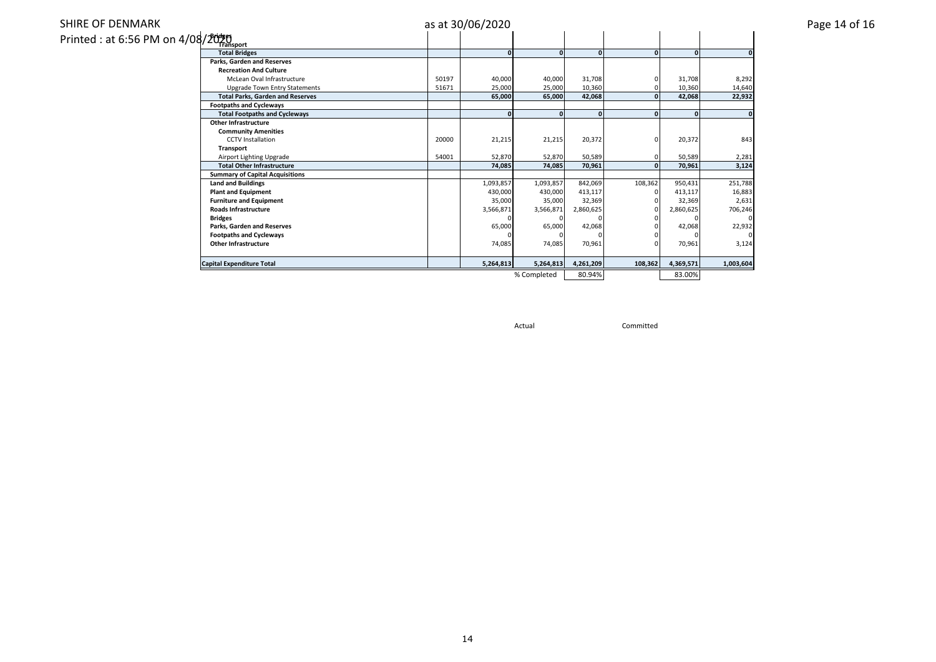### SHIRE OF DENMARK

| Printed : at 6:56 PM on 4/08/2025 |  |  |
|-----------------------------------|--|--|
|-----------------------------------|--|--|

|                                         |       | as at 30/06/2020 |              |              |              |           |           | Page 14 of 16 |
|-----------------------------------------|-------|------------------|--------------|--------------|--------------|-----------|-----------|---------------|
| /2009)<br>/2007 Transport               |       |                  |              |              |              |           |           |               |
| <b>Total Bridges</b>                    |       | $\Omega$         | $\mathbf{0}$ | $\Omega$     | $\mathbf{0}$ | $\Omega$  |           |               |
| Parks, Garden and Reserves              |       |                  |              |              |              |           |           |               |
| <b>Recreation And Culture</b>           |       |                  |              |              |              |           |           |               |
| McLean Oval Infrastructure              | 50197 | 40,000           | 40,000       | 31,708       |              | 31,708    | 8,292     |               |
| <b>Upgrade Town Entry Statements</b>    | 51671 | 25,000           | 25,000       | 10,360       |              | 10,360    | 14,640    |               |
| <b>Total Parks, Garden and Reserves</b> |       | 65,000           | 65,000       | 42,068       | $\mathbf{0}$ | 42,068    | 22,932    |               |
| <b>Footpaths and Cycleways</b>          |       |                  |              |              |              |           |           |               |
| <b>Total Footpaths and Cycleways</b>    |       | $\Omega$         | $\Omega$     | $\mathbf{0}$ | $\Omega$     | $\Omega$  |           |               |
| <b>Other Infrastructure</b>             |       |                  |              |              |              |           |           |               |
| <b>Community Amenities</b>              |       |                  |              |              |              |           |           |               |
| <b>CCTV</b> Installation                | 20000 | 21,215           | 21,215       | 20,372       | 0            | 20,372    | 843       |               |
| Transport                               |       |                  |              |              |              |           |           |               |
| Airport Lighting Upgrade                | 54001 | 52,870           | 52,870       | 50,589       |              | 50,589    | 2,281     |               |
| <b>Total Other Infrastructure</b>       |       | 74,085           | 74,085       | 70,961       | 0            | 70,961    | 3,124     |               |
| <b>Summary of Capital Acquisitions</b>  |       |                  |              |              |              |           |           |               |
| <b>Land and Buildings</b>               |       | 1,093,857        | 1,093,857    | 842,069      | 108,362      | 950,431   | 251,788   |               |
| <b>Plant and Equipment</b>              |       | 430,000          | 430,000      | 413,117      |              | 413,117   | 16,883    |               |
| <b>Furniture and Equipment</b>          |       | 35,000           | 35,000       | 32,369       |              | 32,369    | 2,631     |               |
| <b>Roads Infrastructure</b>             |       | 3,566,871        | 3,566,871    | 2,860,625    |              | 2,860,625 | 706,246   |               |
| <b>Bridges</b>                          |       |                  |              |              |              |           |           |               |
| Parks, Garden and Reserves              |       | 65,000           | 65,000       | 42,068       |              | 42,068    | 22,932    |               |
| <b>Footpaths and Cycleways</b>          |       |                  |              |              |              |           |           |               |
| <b>Other Infrastructure</b>             |       | 74,085           | 74,085       | 70,961       |              | 70,961    | 3,124     |               |
| <b>Capital Expenditure Total</b>        |       | 5,264,813        | 5,264,813    | 4,261,209    | 108,362      | 4,369,571 | 1,003,604 |               |
|                                         |       |                  | % Completed  | 80 94%       |              | 83.00%    |           |               |

% Completed 80.94% 83.00%

Actual Committed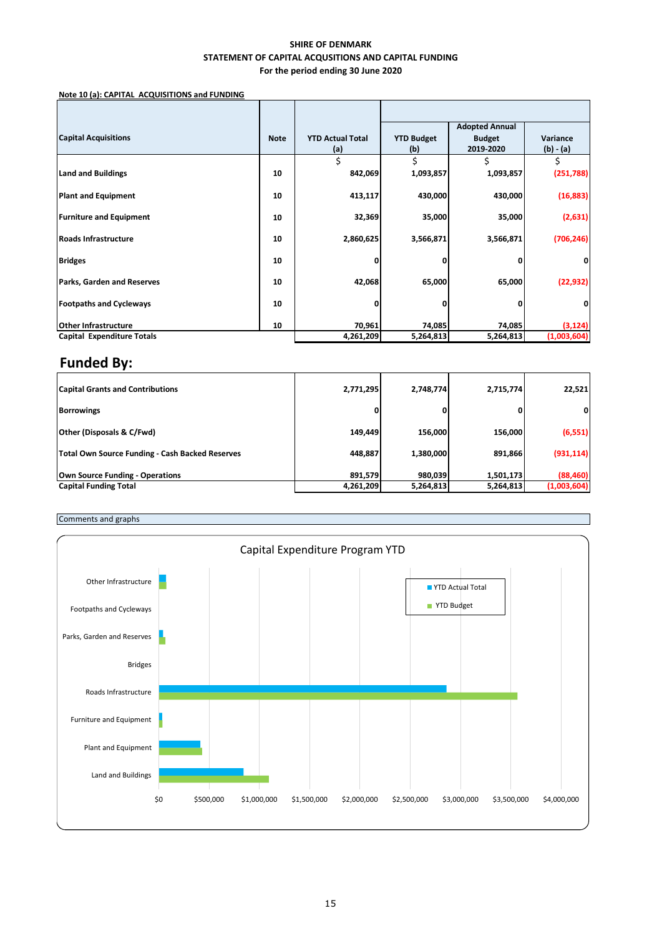### **SHIRE OF DENMARK STATEMENT OF CAPITAL ACQUSITIONS AND CAPITAL FUNDING For the period ending 30 June 2020**

**Note 10 (a): CAPITAL ACQUISITIONS and FUNDING**

|                                   |             |                         |                   | <b>Adopted Annual</b> |             |
|-----------------------------------|-------------|-------------------------|-------------------|-----------------------|-------------|
| <b>Capital Acquisitions</b>       | <b>Note</b> | <b>YTD Actual Total</b> | <b>YTD Budget</b> | <b>Budget</b>         | Variance    |
|                                   |             | (a)                     | (b)               | 2019-2020             | $(b) - (a)$ |
|                                   |             | \$                      | Ś                 |                       | \$          |
| <b>Land and Buildings</b>         | 10          | 842,069                 | 1,093,857         | 1,093,857             | (251,788)   |
| <b>Plant and Equipment</b>        | 10          | 413,117                 | 430,000           | 430,000               | (16, 883)   |
| <b>Furniture and Equipment</b>    | 10          | 32,369                  | 35,000            | 35,000                | (2,631)     |
| <b>Roads Infrastructure</b>       | 10          | 2,860,625               | 3,566,871         | 3,566,871             | (706, 246)  |
| <b>Bridges</b>                    | 10          |                         |                   |                       |             |
| <b>Parks, Garden and Reserves</b> | 10          | 42,068                  | 65,000            | 65,000                | (22, 932)   |
| <b>Footpaths and Cycleways</b>    | 10          |                         |                   | 0                     | 0           |
| <b>Other Infrastructure</b>       | 10          | 70,961                  | 74,085            | 74,085                | (3, 124)    |
| Capital Expenditure Totals        |             | 4,261,209               | 5,264,813         | 5,264,813             | (1,003,604) |

## **Funded By:**

| <b>Capital Grants and Contributions</b>         | 2,771,295 | 2,748,774 | 2,715,774 | 22,521       |
|-------------------------------------------------|-----------|-----------|-----------|--------------|
| <b>Borrowings</b>                               |           | 0         |           | $\mathbf{0}$ |
| <b>Other (Disposals &amp; C/Fwd)</b>            | 149,449   | 156,000   | 156,000   | (6, 551)     |
| Total Own Source Funding - Cash Backed Reserves | 448,887   | 1,380,000 | 891,866   | (931, 114)   |
| Own Source Funding - Operations                 | 891.579   | 980.039   | 1,501,173 | (88, 460)    |
| <b>Capital Funding Total</b>                    | 4,261,209 | 5,264,813 | 5,264,813 | (1,003,604)  |